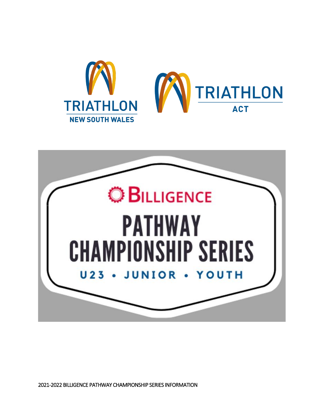



2021-2022 BILLIGENCE PATHWAY CHAMPIONSHIP SERIES INFORMATION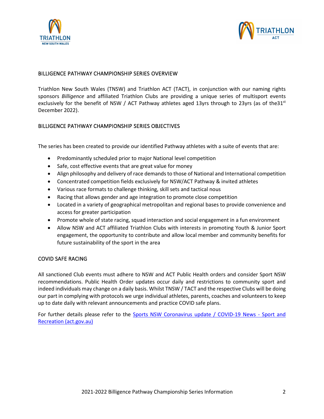



#### BILLIGENCE PATHWAY CHAMPIONSHIP SERIES OVERVIEW

Triathlon New South Wales (TNSW) and Triathlon ACT (TACT), in conjunction with our naming rights sponsors *Billigence* and affiliated Triathlon Clubs are providing a unique series of multisport events exclusively for the benefit of NSW / ACT Pathway athletes aged 13yrs through to 23yrs (as of the 31st December 2022).

## BILLIGENCE PATHWAY CHAMPIONSHIP SERIES OBJECTIVES

The series has been created to provide our identified Pathway athletes with a suite of events that are:

- Predominantly scheduled prior to major National level competition
- Safe, cost effective events that are great value for money
- Align philosophy and delivery of race demands to those of National and International competition
- Concentrated competition fields exclusively for NSW/ACT Pathway & invited athletes
- Various race formats to challenge thinking, skill sets and tactical nous
- Racing that allows gender and age integration to promote close competition
- Located in a variety of geographical metropolitan and regional bases to provide convenience and access for greater participation
- Promote whole of state racing, squad interaction and social engagement in a fun environment
- Allow NSW and ACT affiliated Triathlon Clubs with interests in promoting Youth & Junior Sport engagement, the opportunity to contribute and allow local member and community benefits for future sustainability of the sport in the area

#### COVID SAFE RACING

All sanctioned Club events must adhere to NSW and ACT Public Health orders and consider Sport NSW recommendations. Public Health Order updates occur daily and restrictions to community sport and indeed individuals may change on a daily basis. Whilst TNSW / TACT and the respective Clubs will be doing our part in complying with protocols we urge individual athletes, parents, coaches and volunteers to keep up to date daily with relevant announcements and practice COVID safe plans.

For further details please refer to the [Sports NSW Coronavirus update](https://www.sport.nsw.gov.au/novel-coronavirus-covid-19) / [COVID-19 News -](https://www.sport.act.gov.au/about-us/covid19-news) Sport and [Recreation \(act.gov.au\)](https://www.sport.act.gov.au/about-us/covid19-news)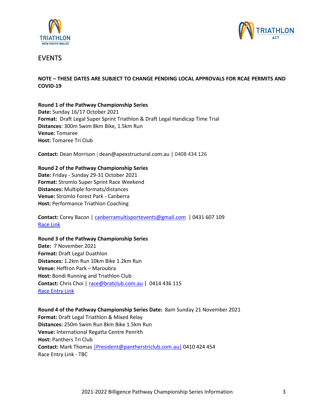



# EVENTS

## **NOTE – THESE DATES ARE SUBJECT TO CHANGE PENDING LOCAL APPROVALS FOR RCAE PERMITS AND COVID-19**

**Round 1 of the Pathway Championship Series Date:** Sunday 16/17 October 2021 **Format:** Draft Legal Super Sprint Triathlon & Draft Legal Handicap Time Trial **Distances**: 300m Swim 8km Bike, 1.5km Run **Venue:** Tomaree **Host:** Tomaree Tri Club

**Contact:** Dean Morrison | dean@apexstructural.com.au | 0408 434 126

**Round 2 of the Pathway Championship Series Date:** Friday - Sunday 29-31 October 2021 **Format:** Stromlo Super Sprint Race Weekend **Distances:** Multiple formats/distances **Venue:** Stromlo Forest Park - Canberra **Host:** Performance Triathlon Coaching

**Contact:** Corey Bacon | [canberramultisportevents@gmail.com](mailto:canberramultisportevents@gmail.com) | 0431 607 109 [Race](https://canberramultisportevents.com.au/events/stromlo-super-sprint/) Link

**Round 3 of the Pathway Championship Series**

**Date:** 7 November 2021 **Format:** Draft Legal Duathlon **Distances:** 1.2km Run 10km Bike 1.2km Run **Venue:** Heffron Park – Maroubra **Host:** Bondi Running and Triathlon Club **Contact:** Chris Choi | [race@bratclub.com.au](mailto:chrischoi81@hotmail.com) | 0414 436 115 Race [Entry](https://apac01.safelinks.protection.outlook.com/?url=https%3A%2F%2Fwww.bratclub.com.au%2Fclub-races&data=04%7C01%7C%7Cdae1b8ab154e47fc1f3f08d940c2d1b0%7C84df9e7fe9f640afb435aaaaaaaaaaaa%7C1%7C0%7C637612027753873695%7CUnknown%7CTWFpbGZsb3d8eyJWIjoiMC4wLjAwMDAiLCJQIjoiV2luMzIiLCJBTiI6Ik1haWwiLCJXVCI6Mn0%3D%7C1000&sdata=JtTa651sPLRIyNVoCn2ezokuV99Nc1VdLQm3%2BD8xYfI%3D&reserved=0) Link

**Round 4 of the Pathway Championship Series Date:** 8am Sunday 21 November 2021 **Format:** Draft Legal Triathlon & Mixed Relay **Distances:** 250m Swim Run 8km Bike 1.5km Run **Venue:** International Regatta Centre Penrith **Host:** Panthers Tri Club **Contact:** Mark Thomas [|President@pantherstriclub.com.au|](mailto:%7CPresident@pantherstriclub.com.au%7C) 0410 424 454 Race Entry Link - TBC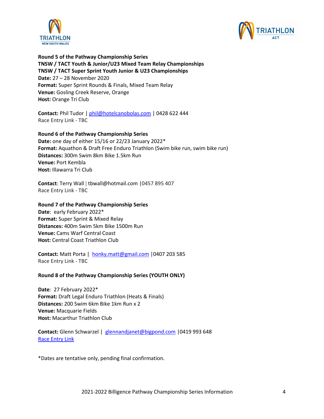



**Round 5 of the Pathway Championship Series TNSW / TACT Youth & Junior/U23 Mixed Team Relay Championships TNSW / TACT Super Sprint Youth Junior & U23 Championships Date:** 27 – 28 November 2020 **Format:** Super Sprint Rounds & Finals, Mixed Team Relay **Venue:** Gosling Creek Reserve, Orange **Host:** Orange Tri Club

**Contact:** Phil Tudor | [phil@hotelcanobolas.com](mailto:phil@hotelcanobolas.com) | 0428 622 444 Race Entry Link - TBC

#### **Round 6 of the Pathway Championship Series**

**Date:** one day of either 15/16 or 22/23 January 2022\* **Format:** Aquathon & Draft Free Enduro Triathlon (Swim bike run, swim bike run) **Distances:** 300m Swim 8km Bike 1.5km Run **Venue:** Port Kembla **Host:** Illawarra Tri Club

**Contact**: Terry Wall | tbwall@hotmail.com |0457 895 407 Race Entry Link - TBC

#### **Round 7 of the Pathway Championship Series**

**Date**: early February 2022\* **Format:** Super Sprint & Mixed Relay **Distances:** 400m Swim 5km Bike 1500m Run **Venue:** Cams Warf Central Coast **Host:** Central Coast Triathlon Club

**Contact:** Matt Porta | [honky.matt@gmail.com](mailto:honky.matt@gmail.com) |0407 203 585 Race Entry Link - TBC

#### **Round 8 of the Pathway Championship Series (YOUTH ONLY)**

**Date**: 27 February 2022\* **Format:** Draft Legal Enduro Triathlon (Heats & Finals) **Distances:** 200 Swim 6km Bike 1km Run x 2 **Venue:** Macquarie Fields **Host:** Macarthur Triathlon Club

**Contact:** Glenn Schwarzel | [glennandjanet@bigpond.com](mailto:glennandjanet@bigpond.com) |0419 993 648 Race [Entry](http://www.mactri.com.au/Pages/calendar.html) Link

\*Dates are tentative only, pending final confirmation.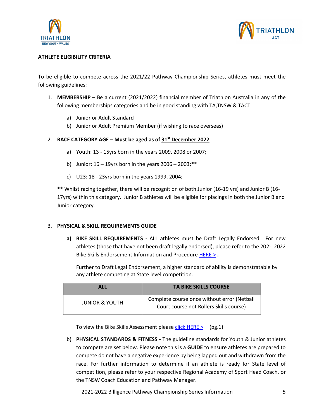



## **ATHLETE ELIGIBILITY CRITERIA**

To be eligible to compete across the 2021/22 Pathway Championship Series, athletes must meet the following guidelines:

- 1. **MEMBERSHIP** Be a current (2021/2022) financial member of Triathlon Australia in any of the following memberships categories and be in good standing with TA,TNSW & TACT.
	- a) Junior or Adult Standard
	- b) Junior or Adult Premium Member (if wishing to race overseas)

## 2. **RACE CATEGORY AGE** – **Must be aged as of 31st December 2022**

- a) Youth: 13 15yrs born in the years 2009, 2008 or 2007;
- b) Junior:  $16 19$ yrs born in the years  $2006 2003$ ; \*\*
- c) U23: 18 23yrs born in the years 1999, 2004;

\*\* Whilst racing together, there will be recognition of both Junior (16-19 yrs) and Junior B (16- 17yrs) within this category. Junior B athletes will be eligible for placings in both the Junior B and Junior category.

#### 3. **PHYSICAL & SKILL REQUIREMENTS GUIDE**

**a) BIKE SKILL REQUIREMENTS -** ALL athletes must be Draft Legally Endorsed. For new athletes (those that have not been draft legally endorsed), please refer to the 2021-2022 Bike Skills Endorsement Information and Procedure [HERE >](https://www.triathlon.org.au/Assets/Triathlon+Australia+Digital+Assets/High+Performance/2020-21+Bike+Skills+Endorsement+Information.pdf) **.**

Further to Draft Legal Endorsement, a higher standard of ability is demonstratable by any athlete competing at State level competition.

| <b>ALL</b>                | <b>TA BIKE SKILLS COURSE</b>                                                           |
|---------------------------|----------------------------------------------------------------------------------------|
| <b>JUNIOR &amp; YOUTH</b> | Complete course once without error (Netball<br>Court course not Rollers Skills course) |

To view the Bike Skills Assessment please [click HERE >](https://www.triathlon.org.au/Assets/Triathlon+Australia+Digital+Assets/High+Performance/Talent+Pathway/Bike+Skills+Test.pdf) (pg.1)

b) **PHYSICAL STANDARDS & FITNESS -** The guideline standards for Youth & Junior athletes to compete are set below. Please note this is a **GUIDE** to ensure athletes are prepared to compete do not have a negative experience by being lapped out and withdrawn from the race. For further information to determine if an athlete is ready for State level of competition, please refer to your respective Regional Academy of Sport Head Coach, or the TNSW Coach Education and Pathway Manager.

2021-2022 Billigence Pathway Championship Series Information 5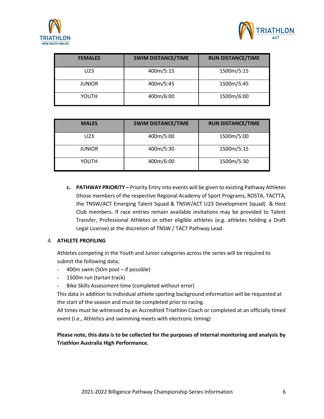



| <b>FEMALES</b>  | <b>SWIM DISTANCE/TIME</b> | <b>RUN DISTANCE/TIME</b> |  |
|-----------------|---------------------------|--------------------------|--|
| U <sub>23</sub> | 400m/5:15                 | 1500m/5:15               |  |
| <b>JUNIOR</b>   | 400m/5:45                 | 1500m/5:45               |  |
| YOUTH           | 400m/6:00                 | 1500m/6:00               |  |

| <b>MALES</b>  | <b>SWIM DISTANCE/TIME</b> | <b>RUN DISTANCE/TIME</b> |  |
|---------------|---------------------------|--------------------------|--|
| U23           | 400m/5:00                 | 1500m/5:00               |  |
| <b>JUNIOR</b> | 400m/5:30                 | 1500m/5:15               |  |
| YOUTH         | 400m/6:00                 | 1500m/5:30               |  |

**c. PATHWAY PRIORITY –** Priority Entry into events will be given to existing Pathway Athletes (those members of the respective Regional Academy of Sport Programs, ROSTA, TACTTA, the TNSW/ACT Emerging Talent Squad & TNSW/ACT U23 Development Squad) & Host Club members**.** If race entries remain available invitations may be provided to Talent Transfer, Professional Athletes or other eligible athletes (e.g. athletes holding a Draft Legal License) at the discretion of TNSW / TACT Pathway Lead.

## 4. **ATHLETE PROFILING**

Athletes competing in the Youth and Junior categories across the series will be required to submit the following data;

- 400m swim (50m pool if possible)
- 1500m run (tartan track)
- Bike Skills Assessment time (completed without error)

This data in addition to individual athlete sporting background information will be requested at the start of the season and must be completed prior to racing.

All times must be witnessed by an Accredited Triathlon Coach or completed at an officially timed event (i.e., Athletics and swimming meets with electronic timing)

**Please note, this data is to be collected for the purposes of internal monitoring and analysis by Triathlon Australia High Performance.**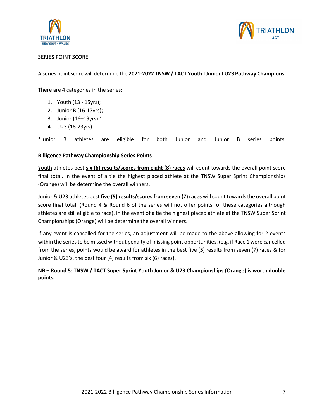



## SERIES POINT SCORE

A series point score will determine the **2021-2022 TNSW / TACT Youth I Junior I U23 Pathway Champions**.

There are 4 categories in the series:

- 1. Youth (13 15yrs);
- 2. Junior B (16-17yrs);
- 3. Junior (16–19yrs) \*;
- 4. U23 (18-23yrs).

\*Junior B athletes are eligible for both Junior and Junior B series points.

#### **Billigence Pathway Championship Series Points**

Youth athletes best **six (6) results/scores from eight (8) races** will count towards the overall point score final total. In the event of a tie the highest placed athlete at the TNSW Super Sprint Championships (Orange) will be determine the overall winners.

Junior & U23 athletes best **five (5) results/scores from seven (7) races** will count towards the overall point score final total. (Round 4 & Round 6 of the series will not offer points for these categories although athletes are still eligible to race). In the event of a tie the highest placed athlete at the TNSW Super Sprint Championships (Orange) will be determine the overall winners.

If any event is cancelled for the series, an adjustment will be made to the above allowing for 2 events within the series to be missed without penalty of missing point opportunities. (e.g. if Race 1 were cancelled from the series, points would be award for athletes in the best five (5) results from seven (7) races & for Junior & U23's, the best four (4) results from six (6) races).

**NB – Round 5: TNSW / TACT Super Sprint Youth Junior & U23 Championships (Orange) is worth double points.**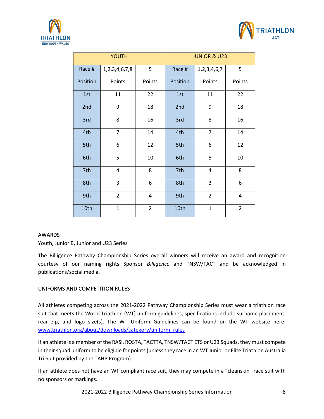



| YOUTH    |                     | <b>JUNIOR &amp; U23</b> |          |                  |                |
|----------|---------------------|-------------------------|----------|------------------|----------------|
| Race #   | 1, 2, 3, 4, 6, 7, 8 | 5                       | Race #   | 1, 2, 3, 4, 6, 7 | 5              |
| Position | Points              | Points                  | Position | Points           | Points         |
| 1st      | 11                  | 22                      | 1st      | 11               | 22             |
| 2nd      | 9                   | 18                      | 2nd      | 9                | 18             |
| 3rd      | 8                   | 16                      | 3rd      | 8                | 16             |
| 4th      | $\overline{7}$      | 14                      | 4th      | $\overline{7}$   | 14             |
| 5th      | 6                   | 12                      | 5th      | 6                | 12             |
| 6th      | 5                   | 10                      | 6th      | 5                | 10             |
| 7th      | 4                   | 8                       | 7th      | 4                | 8              |
| 8th      | 3                   | 6                       | 8th      | 3                | 6              |
| 9th      | $\overline{2}$      | 4                       | 9th      | $\overline{2}$   | 4              |
| 10th     | $\mathbf{1}$        | $\overline{2}$          | 10th     | $\mathbf{1}$     | $\overline{2}$ |

## AWARDS

Youth, Junior B, Junior and U23 Series

The Billigence Pathway Championship Series overall winners will receive an award and recognition courtesy of our naming rights Sponsor *Billigence* and TNSW/TACT and be acknowledged in publications/social media.

## UNIFORMS AND COMPETITION RULES

All athletes competing across the 2021-2022 Pathway Championship Series must wear a triathlon race suit that meets the World Triathlon (WT) uniform guidelines, specifications include surname placement, rear zip, and logo size(s). The WT Uniform Guidelines can be found on the WT website here: [www.triathlon.org/about/downloads/category/uniform\\_rules](http://www.triathlon.org/about/downloads/category/uniform_rules)

If an athlete is a member of the RASi, ROSTA, TACTTA, TNSW/TACT ETS or U23 Squads, they must compete in their squad uniform to be eligible for points (unless they race in an WT Junior or Elite Triathlon Australia Tri Suit provided by the TAHP Program).

If an athlete does not have an WT compliant race suit, they may compete in a "cleanskin" race suit with no sponsors or markings.